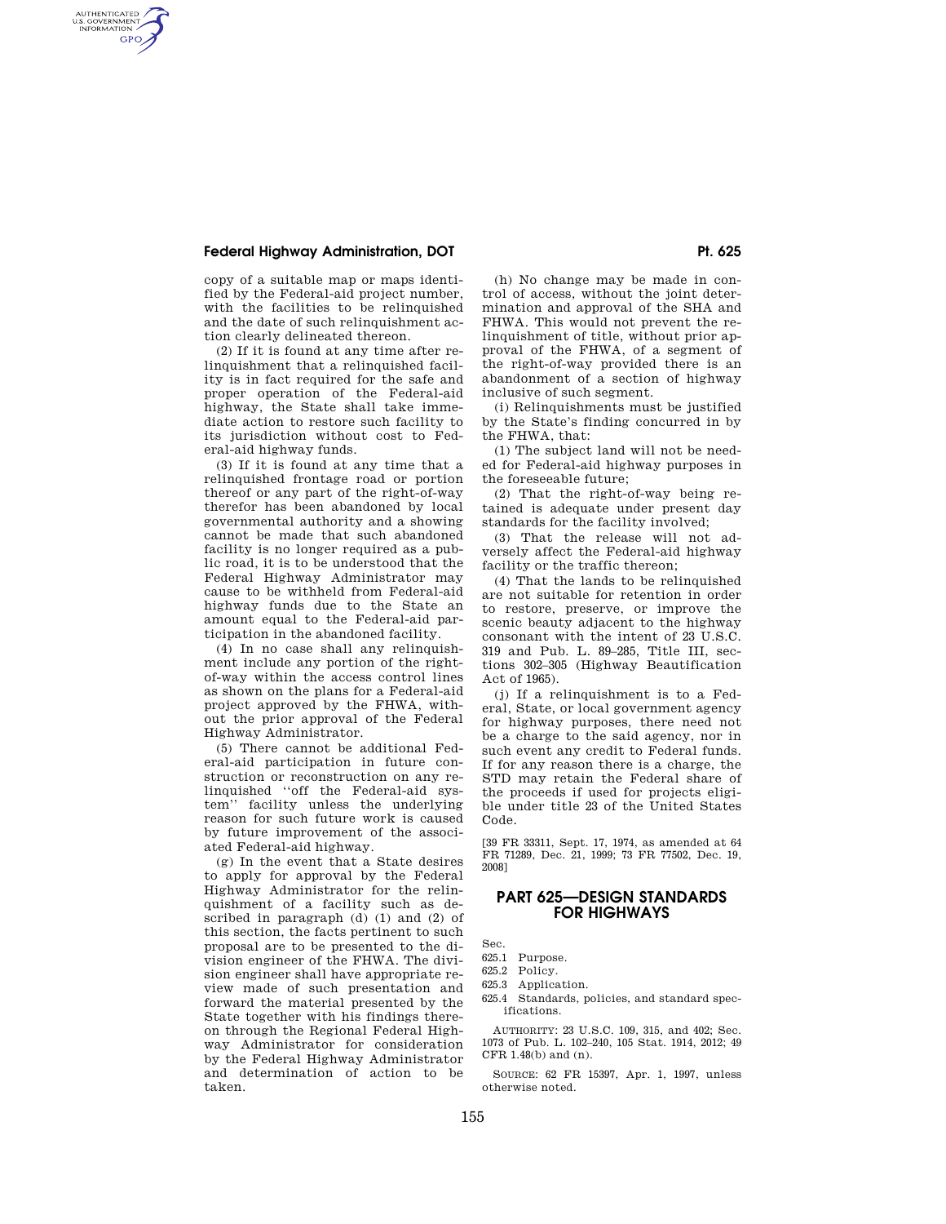# **Federal Highway Administration, DOT**  Pt. 625

AUTHENTICATED<br>U.S. GOVERNMENT<br>INFORMATION **GPO** 

> copy of a suitable map or maps identified by the Federal-aid project number, with the facilities to be relinquished and the date of such relinquishment action clearly delineated thereon.

> (2) If it is found at any time after relinquishment that a relinquished facility is in fact required for the safe and proper operation of the Federal-aid highway, the State shall take immediate action to restore such facility to its jurisdiction without cost to Federal-aid highway funds.

> (3) If it is found at any time that a relinquished frontage road or portion thereof or any part of the right-of-way therefor has been abandoned by local governmental authority and a showing cannot be made that such abandoned facility is no longer required as a public road, it is to be understood that the Federal Highway Administrator may cause to be withheld from Federal-aid highway funds due to the State an amount equal to the Federal-aid participation in the abandoned facility.

> (4) In no case shall any relinquishment include any portion of the rightof-way within the access control lines as shown on the plans for a Federal-aid project approved by the FHWA, without the prior approval of the Federal Highway Administrator.

> (5) There cannot be additional Federal-aid participation in future construction or reconstruction on any relinquished ''off the Federal-aid system'' facility unless the underlying reason for such future work is caused by future improvement of the associated Federal-aid highway.

> (g) In the event that a State desires to apply for approval by the Federal Highway Administrator for the relinquishment of a facility such as described in paragraph  $(d)$   $(l)$  and  $(l)$  of this section, the facts pertinent to such proposal are to be presented to the division engineer of the FHWA. The division engineer shall have appropriate review made of such presentation and forward the material presented by the State together with his findings thereon through the Regional Federal Highway Administrator for consideration by the Federal Highway Administrator and determination of action to be taken.

(h) No change may be made in control of access, without the joint determination and approval of the SHA and FHWA. This would not prevent the relinquishment of title, without prior approval of the FHWA, of a segment of the right-of-way provided there is an abandonment of a section of highway inclusive of such segment.

(i) Relinquishments must be justified by the State's finding concurred in by the FHWA, that:

(1) The subject land will not be needed for Federal-aid highway purposes in the foreseeable future;

(2) That the right-of-way being retained is adequate under present day standards for the facility involved;

(3) That the release will not adversely affect the Federal-aid highway facility or the traffic thereon;

(4) That the lands to be relinquished are not suitable for retention in order to restore, preserve, or improve the scenic beauty adjacent to the highway consonant with the intent of 23 U.S.C. 319 and Pub. L. 89–285, Title III, sections 302–305 (Highway Beautification Act of 1965).

(j) If a relinquishment is to a Federal, State, or local government agency for highway purposes, there need not be a charge to the said agency, nor in such event any credit to Federal funds. If for any reason there is a charge, the STD may retain the Federal share of the proceeds if used for projects eligible under title 23 of the United States Code.

[39 FR 33311, Sept. 17, 1974, as amended at 64 FR 71289, Dec. 21, 1999; 73 FR 77502, Dec. 19, 2008]

# **PART 625—DESIGN STANDARDS FOR HIGHWAYS**

Sec. 625.1 Purpose.

- 625.2 Policy.
- 625.3 Application.
- 625.4 Standards, policies, and standard specifications.

AUTHORITY: 23 U.S.C. 109, 315, and 402; Sec. 1073 of Pub. L. 102–240, 105 Stat. 1914, 2012; 49 CFR 1.48(b) and (n).

SOURCE: 62 FR 15397, Apr. 1, 1997, unless otherwise noted.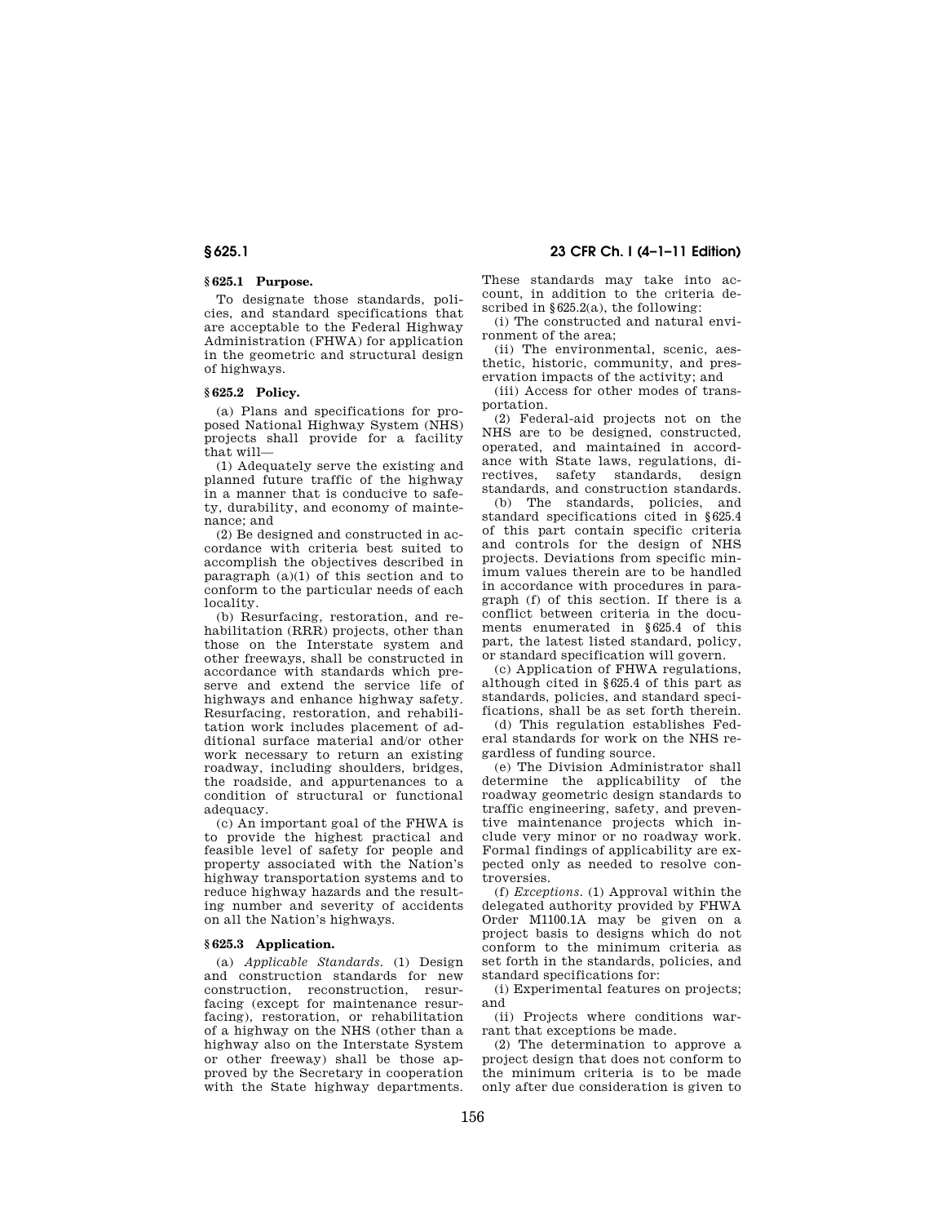# **§ 625.1 Purpose.**

To designate those standards, policies, and standard specifications that are acceptable to the Federal Highway Administration (FHWA) for application in the geometric and structural design of highways.

## **§ 625.2 Policy.**

(a) Plans and specifications for proposed National Highway System (NHS) projects shall provide for a facility that will—

(1) Adequately serve the existing and planned future traffic of the highway in a manner that is conducive to safety, durability, and economy of maintenance; and

(2) Be designed and constructed in accordance with criteria best suited to accomplish the objectives described in paragraph  $(a)(1)$  of this section and to conform to the particular needs of each locality.

(b) Resurfacing, restoration, and rehabilitation (RRR) projects, other than those on the Interstate system and other freeways, shall be constructed in accordance with standards which preserve and extend the service life of highways and enhance highway safety. Resurfacing, restoration, and rehabilitation work includes placement of additional surface material and/or other work necessary to return an existing roadway, including shoulders, bridges, the roadside, and appurtenances to a condition of structural or functional adequacy.

(c) An important goal of the FHWA is to provide the highest practical and feasible level of safety for people and property associated with the Nation's highway transportation systems and to reduce highway hazards and the resulting number and severity of accidents on all the Nation's highways.

#### **§ 625.3 Application.**

(a) *Applicable Standards.* (1) Design and construction standards for new construction, reconstruction, resurfacing (except for maintenance resurfacing), restoration, or rehabilitation of a highway on the NHS (other than a highway also on the Interstate System or other freeway) shall be those approved by the Secretary in cooperation with the State highway departments. These standards may take into account, in addition to the criteria described in  $§625.2(a)$ , the following:

(i) The constructed and natural environment of the area;

(ii) The environmental, scenic, aesthetic, historic, community, and preservation impacts of the activity; and

(iii) Access for other modes of transportation.

(2) Federal-aid projects not on the NHS are to be designed, constructed, operated, and maintained in accordance with State laws, regulations, directives, safety standards, design standards, and construction standards.

(b) The standards, policies, and standard specifications cited in §625.4 of this part contain specific criteria and controls for the design of NHS projects. Deviations from specific minimum values therein are to be handled in accordance with procedures in paragraph (f) of this section. If there is a conflict between criteria in the documents enumerated in §625.4 of this part, the latest listed standard, policy, or standard specification will govern.

(c) Application of FHWA regulations, although cited in §625.4 of this part as standards, policies, and standard specifications, shall be as set forth therein.

(d) This regulation establishes Federal standards for work on the NHS regardless of funding source.

(e) The Division Administrator shall determine the applicability of the roadway geometric design standards to traffic engineering, safety, and preventive maintenance projects which include very minor or no roadway work. Formal findings of applicability are expected only as needed to resolve controversies.

(f) *Exceptions.* (1) Approval within the delegated authority provided by FHWA Order M1100.1A may be given on a project basis to designs which do not conform to the minimum criteria as set forth in the standards, policies, and standard specifications for:

(i) Experimental features on projects; and

(ii) Projects where conditions warrant that exceptions be made.

(2) The determination to approve a project design that does not conform to the minimum criteria is to be made only after due consideration is given to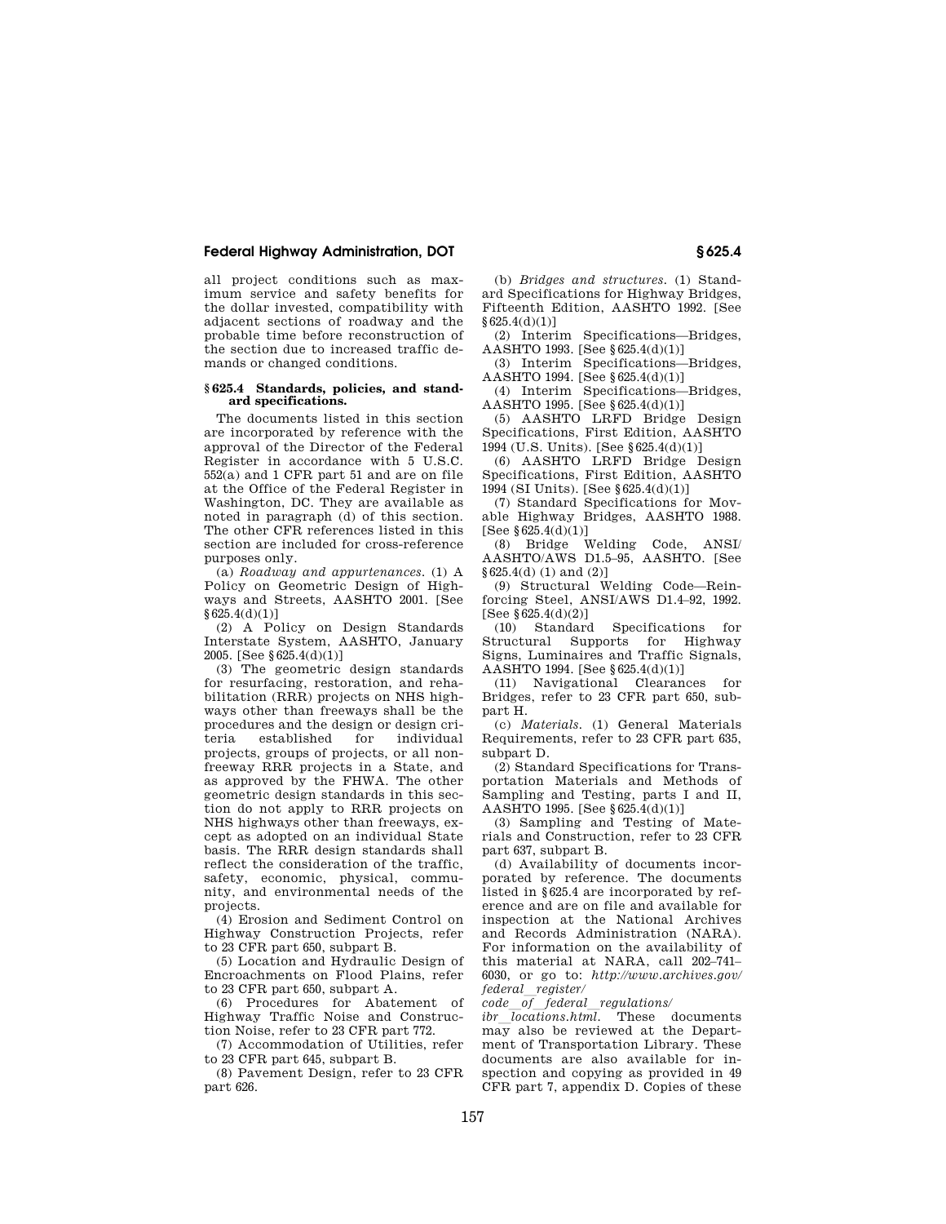# **Federal Highway Administration, DOT § 625.4**

all project conditions such as maximum service and safety benefits for the dollar invested, compatibility with adjacent sections of roadway and the probable time before reconstruction of the section due to increased traffic demands or changed conditions.

### **§ 625.4 Standards, policies, and standard specifications.**

The documents listed in this section are incorporated by reference with the approval of the Director of the Federal Register in accordance with 5 U.S.C. 552(a) and 1 CFR part 51 and are on file at the Office of the Federal Register in Washington, DC. They are available as noted in paragraph (d) of this section. The other CFR references listed in this section are included for cross-reference purposes only.

(a) *Roadway and appurtenances.* (1) A Policy on Geometric Design of Highways and Streets, AASHTO 2001. [See §625.4(d)(1)]

(2) A Policy on Design Standards Interstate System, AASHTO, January 2005. [See §625.4(d)(1)]

(3) The geometric design standards for resurfacing, restoration, and rehabilitation (RRR) projects on NHS highways other than freeways shall be the procedures and the design or design criestablished for individual projects, groups of projects, or all nonfreeway RRR projects in a State, and as approved by the FHWA. The other geometric design standards in this section do not apply to RRR projects on NHS highways other than freeways, except as adopted on an individual State basis. The RRR design standards shall reflect the consideration of the traffic, safety, economic, physical, community, and environmental needs of the projects.

(4) Erosion and Sediment Control on Highway Construction Projects, refer to 23 CFR part 650, subpart B.

(5) Location and Hydraulic Design of Encroachments on Flood Plains, refer to 23 CFR part 650, subpart A.

(6) Procedures for Abatement of Highway Traffic Noise and Construction Noise, refer to 23 CFR part 772.

(7) Accommodation of Utilities, refer to 23 CFR part 645, subpart B.

(8) Pavement Design, refer to 23 CFR part 626.

(b) *Bridges and structures.* (1) Standard Specifications for Highway Bridges, Fifteenth Edition, AASHTO 1992. [See §625.4(d)(1)]

(2) Interim Specifications—Bridges, AASHTO 1993. [See §625.4(d)(1)]

(3) Interim Specifications—Bridges, AASHTO 1994. [See §625.4(d)(1)]

(4) Interim Specifications—Bridges,  $A$ ASHTO 1995. [See §625.4(d)(1)]

(5) AASHTO LRFD Bridge Design Specifications, First Edition, AASHTO 1994 (U.S. Units). [See §625.4(d)(1)]

(6) AASHTO LRFD Bridge Design Specifications, First Edition, AASHTO 1994 (SI Units). [See §625.4(d)(1)]

(7) Standard Specifications for Movable Highway Bridges, AASHTO 1988. [See §625.4(d)(1)]

(8) Bridge Welding Code, ANSI/ AASHTO/AWS D1.5–95, AASHTO. [See §625.4(d) (1) and (2)]

(9) Structural Welding Code—Reinforcing Steel, ANSI/AWS D1.4–92, 1992. [See  $$625.4(d)(2)]$ <br>(10) Standard

Specifications for Structural Supports for Highway Signs, Luminaires and Traffic Signals, AASHTO 1994. [See §625.4(d)(1)]

(11) Navigational Clearances for Bridges, refer to 23 CFR part 650, subpart H.

(c) *Materials.* (1) General Materials Requirements, refer to 23 CFR part 635, subpart D.

(2) Standard Specifications for Transportation Materials and Methods of Sampling and Testing, parts I and II, AASHTO 1995. [See §625.4(d)(1)]

(3) Sampling and Testing of Materials and Construction, refer to 23 CFR part 637, subpart B.

(d) Availability of documents incorporated by reference. The documents listed in §625.4 are incorporated by reference and are on file and available for inspection at the National Archives and Records Administration (NARA). For information on the availability of this material at NARA, call 202–741– 6030, or go to: *http://www.archives.gov/ federal*l*register/* 

*code*l*of*l*federal*l*regulations/* 

 $\overline{1}$ *ibr*  $\overline{1}$ *locations.html.* These documents may also be reviewed at the Department of Transportation Library. These documents are also available for inspection and copying as provided in 49 CFR part 7, appendix D. Copies of these